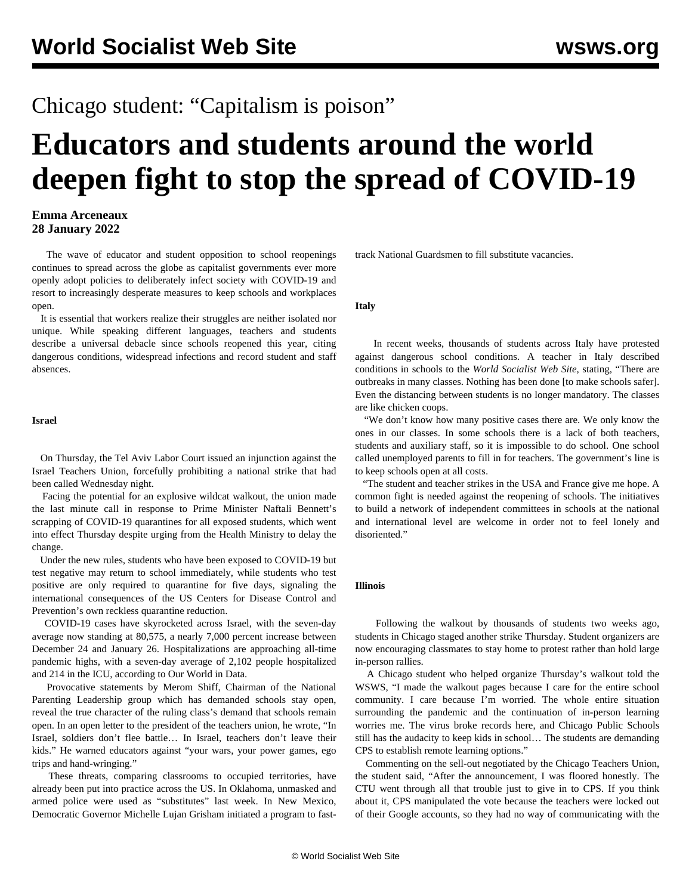# Chicago student: "Capitalism is poison"

# **Educators and students around the world deepen fight to stop the spread of COVID-19**

# **Emma Arceneaux 28 January 2022**

 The wave of educator and student opposition to school reopenings continues to spread across the globe as capitalist governments ever more openly adopt policies to deliberately infect society with COVID-19 and resort to increasingly desperate measures to keep schools and workplaces open.

 It is essential that workers realize their struggles are neither isolated nor unique. While speaking different languages, teachers and students describe a universal debacle since schools reopened this year, citing dangerous conditions, widespread infections and record student and staff absences.

### **Israel**

 On Thursday, the Tel Aviv Labor Court issued an injunction against the Israel Teachers Union, forcefully prohibiting a national strike that had been called Wednesday night.

 Facing the potential for an explosive wildcat walkout, the union made the last minute call in response to Prime Minister Naftali Bennett's scrapping of COVID-19 quarantines for all exposed students, which went into effect Thursday despite urging from the Health Ministry to delay the change.

 Under the new rules, students who have been exposed to COVID-19 but test negative may return to school immediately, while students who test positive are only required to quarantine for five days, signaling the international consequences of the US Centers for Disease Control and Prevention's own reckless quarantine reduction.

 COVID-19 cases have skyrocketed across Israel, with the seven-day average now standing at 80,575, a nearly 7,000 percent increase between December 24 and January 26. Hospitalizations are approaching all-time pandemic highs, with a seven-day average of 2,102 people hospitalized and 214 in the ICU, according to Our World in Data.

 Provocative statements by Merom Shiff, Chairman of the National Parenting Leadership group which has demanded schools stay open, reveal the true character of the ruling class's demand that schools remain open. In an open letter to the president of the teachers union, he wrote, "In Israel, soldiers don't flee battle… In Israel, teachers don't leave their kids." He warned educators against "your wars, your power games, ego trips and hand-wringing."

 These threats, comparing classrooms to occupied territories, have already been put into practice across the US. In Oklahoma, unmasked and armed police were used as "substitutes" last week. In New Mexico, Democratic Governor Michelle Lujan Grisham initiated a program to fasttrack National Guardsmen to fill substitute vacancies.

#### **Italy**

 In recent weeks, [thousands of students](/en/articles/2022/01/14/fran-j14.html) across Italy have [protested](/en/articles/2022/01/14/fran-j14.html) [against dangerous school conditions.](/en/articles/2022/01/14/fran-j14.html) A teacher in Italy described conditions in schools to the *World Socialist Web Site*, stating, "There are outbreaks in many classes. Nothing has been done [to make schools safer]. Even the distancing between students is no longer mandatory. The classes are like chicken coops.

 "We don't know how many positive cases there are. We only know the ones in our classes. In some schools there is a lack of both teachers, students and auxiliary staff, so it is impossible to do school. One school called unemployed parents to fill in for teachers. The government's line is to keep schools open at all costs.

 "The student and teacher strikes in the USA and France give me hope. A common fight is needed against the reopening of schools. The initiatives to build a network of independent committees in schools at the national and international level are welcome in order not to feel lonely and disoriented."

## **Illinois**

 Following the walkout by thousands of students two weeks ago, students in Chicago staged another strike Thursday. Student organizers are now encouraging classmates to stay home to protest rather than hold large in-person rallies.

 A Chicago student who helped organize Thursday's walkout told the WSWS, "I made the walkout pages because I care for the entire school community. I care because I'm worried. The whole entire situation surrounding the pandemic and the continuation of in-person learning worries me. The virus broke records here, and Chicago Public Schools still has the audacity to keep kids in school… The students are demanding CPS to establish remote learning options."

 Commenting on the [sell-out negotiated by the Chicago Teachers Union](/en/articles/2022/01/14/chgo-j14.html), the student said, "After the announcement, I was floored honestly. The CTU went through all that trouble just to give in to CPS. If you think about it, CPS manipulated the vote because the teachers were locked out of their Google accounts, so they had no way of communicating with the